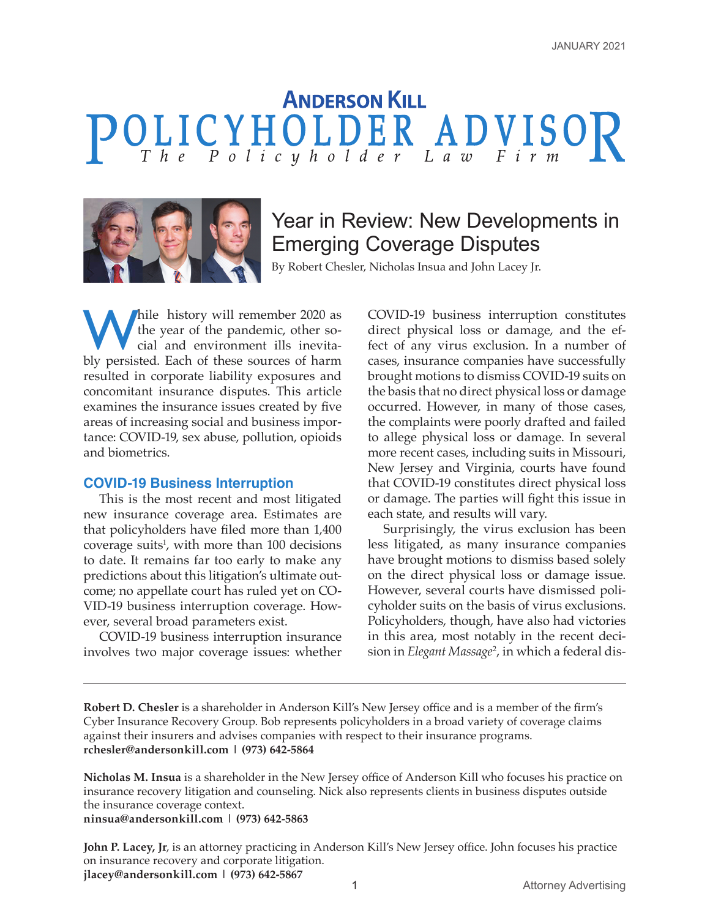# **ANDERSON KILL**



## Year in Review: New Developments in Emerging Coverage Disputes

By Robert Chesler, Nicholas Insua and John Lacey Jr.

will remember 2020 as<br>the year of the pandemic, other so-<br>cial and environment ills inevita-<br>hly percited. Each of these sources of harm the year of the pandemic, other social and environment ills inevitably persisted. Each of these sources of harm resulted in corporate liability exposures and concomitant insurance disputes. This article examines the insurance issues created by five areas of increasing social and business importance: COVID-19, sex abuse, pollution, opioids and biometrics.

#### **COVID-19 Business Interruption**

This is the most recent and most litigated new insurance coverage area. Estimates are that policyholders have filed more than 1,400 coverage suits<sup>1</sup>, with more than  $100$  decisions to date. It remains far too early to make any predictions about this litigation's ultimate outcome; no appellate court has ruled yet on CO-VID-19 business interruption coverage. However, several broad parameters exist.

COVID-19 business interruption insurance involves two major coverage issues: whether

COVID-19 business interruption constitutes direct physical loss or damage, and the effect of any virus exclusion. In a number of cases, insurance companies have successfully brought motions to dismiss COVID-19 suits on the basis that no direct physical loss or damage occurred. However, in many of those cases, the complaints were poorly drafted and failed to allege physical loss or damage. In several more recent cases, including suits in Missouri, New Jersey and Virginia, courts have found that COVID-19 constitutes direct physical loss or damage. The parties will fight this issue in each state, and results will vary.

Surprisingly, the virus exclusion has been less litigated, as many insurance companies have brought motions to dismiss based solely on the direct physical loss or damage issue. However, several courts have dismissed policyholder suits on the basis of virus exclusions. Policyholders, though, have also had victories in this area, most notably in the recent decision in *Elegant Massage*<sup>2</sup> , in which a federal dis-

**Robert D. Chesler** is a shareholder in Anderson Kill's New Jersey office and is a member of the firm's Cyber Insurance Recovery Group. Bob represents policyholders in a broad variety of coverage claims against their insurers and advises companies with respect to their insurance programs. **rchesler@andersonkill.com | (973) 642-5864**

**Nicholas M. Insua** is a shareholder in the New Jersey office of Anderson Kill who focuses his practice on insurance recovery litigation and counseling. Nick also represents clients in business disputes outside the insurance coverage context.

**ninsua@andersonkill.com | (973) 642-5863** 

**John P. Lacey, Jr**, is an attorney practicing in Anderson Kill's New Jersey office. John focuses his practice on insurance recovery and corporate litigation. **jlacey@andersonkill.com | (973) 642-5867**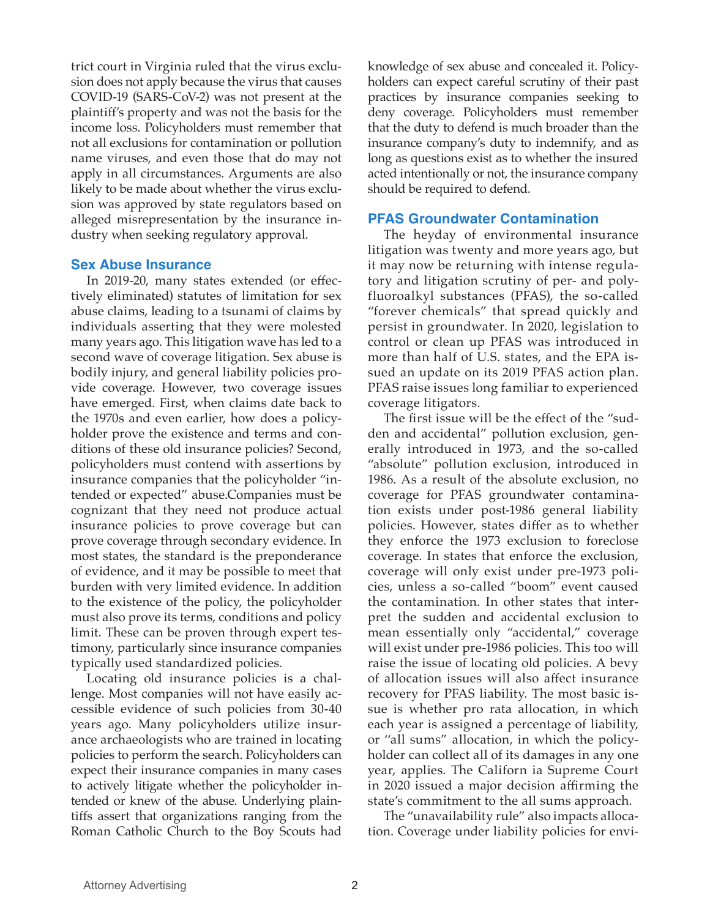trict court in Virginia ruled that the virus exclusion does not apply because the virus that causes COVID-19 (SARS-CoV-2) was not present at the plaintiff's property and was not the basis for the income loss. Policyholders must remember that not all exclusions for contamination or pollution name viruses, and even those that do may not apply in all circumstances. Arguments are also likely to be made about whether the virus exclusion was approved by state regulators based on alleged misrepresentation by the insurance industry when seeking regulatory approval.

#### **Sex Abuse Insurance**

In 2019-20, many states extended (or effectively eliminated) statutes of limitation for sex abuse claims, leading to a tsunami of claims by individuals asserting that they were molested many years ago. This litigation wave has led to a second wave of coverage litigation. Sex abuse is bodily injury, and general liability policies provide coverage. However, two coverage issues have emerged. First, when claims date back to the 1970s and even earlier, how does a policyholder prove the existence and terms and conditions of these old insurance policies? Second, policyholders must contend with assertions by insurance companies that the policyholder "intended or expected" abuse.Companies must be cognizant that they need not produce actual insurance policies to prove coverage but can prove coverage through secondary evidence. In most states, the standard is the preponderance of evidence, and it may be possible to meet that burden with very limited evidence. In addition to the existence of the policy, the policyholder must also prove its terms, conditions and policy limit. These can be proven through expert testimony, particularly since insurance companies typically used standardized policies.

Locating old insurance policies is a challenge. Most companies will not have easily accessible evidence of such policies from 30-40 years ago. Many policyholders utilize insurance archaeologists who are trained in locating policies to perform the search. Policyholders can expect their insurance companies in many cases to actively litigate whether the policyholder intended or knew of the abuse. Underlying plaintiffs assert that organizations ranging from the Roman Catholic Church to the Boy Scouts had knowledge of sex abuse and concealed it. Policyholders can expect careful scrutiny of their past practices by insurance companies seeking to deny coverage. Policyholders must remember that the duty to defend is much broader than the insurance company's duty to indemnify, and as long as questions exist as to whether the insured acted intentionally or not, the insurance company should be required to defend.

#### **PFAS Groundwater Contamination**

The heyday of environmental insurance litigation was twenty and more years ago, but it may now be returning with intense regulatory and litigation scrutiny of per- and polyfluoroalkyl substances (PFAS), the so-called "forever chemicals" that spread quickly and persist in groundwater. In 2020, legislation to control or clean up PFAS was introduced in more than half of U.S. states, and the EPA issued an update on its 2019 PFAS action plan. PFAS raise issues long familiar to experienced coverage litigators.

The first issue will be the effect of the "sudden and accidental" pollution exclusion, generally introduced in 1973, and the so-called "absolute" pollution exclusion, introduced in 1986. As a result of the absolute exclusion, no coverage for PFAS groundwater contamination exists under post-1986 general liability policies. However, states differ as to whether they enforce the 1973 exclusion to foreclose coverage. In states that enforce the exclusion, coverage will only exist under pre-1973 policies, unless a so-called "boom" event caused the contamination. In other states that interpret the sudden and accidental exclusion to mean essentially only "accidental," coverage will exist under pre-1986 policies. This too will raise the issue of locating old policies. A bevy of allocation issues will also affect insurance recovery for PFAS liability. The most basic issue is whether pro rata allocation, in which each year is assigned a percentage of liability, or ''all sums" allocation, in which the policyholder can collect all of its damages in any one year, applies. The Californ ia Supreme Court in 2020 issued a major decision affirming the state's commitment to the all sums approach.

The "unavailability rule" also impacts allocation. Coverage under liability policies for envi-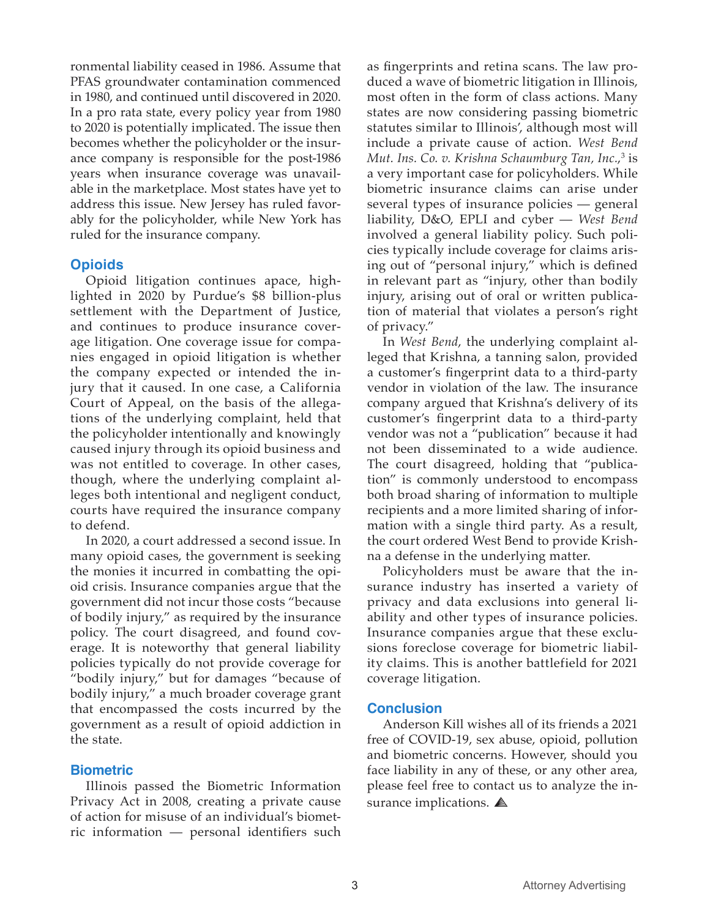ronmental liability ceased in 1986. Assume that PFAS groundwater contamination commenced in 1980, and continued until discovered in 2020. In a pro rata state, every policy year from 1980 to 2020 is potentially implicated. The issue then becomes whether the policyholder or the insurance company is responsible for the post-1986 years when insurance coverage was unavailable in the marketplace. Most states have yet to address this issue. New Jersey has ruled favorably for the policyholder, while New York has ruled for the insurance company.

#### **Opioids**

Opioid litigation continues apace, highlighted in 2020 by Purdue's \$8 billion-plus settlement with the Department of Justice, and continues to produce insurance coverage litigation. One coverage issue for companies engaged in opioid litigation is whether the company expected or intended the injury that it caused. In one case, a California Court of Appeal, on the basis of the allegations of the underlying complaint, held that the policyholder intentionally and knowingly caused injury through its opioid business and was not entitled to coverage. In other cases, though, where the underlying complaint alleges both intentional and negligent conduct, courts have required the insurance company to defend.

In 2020, a court addressed a second issue. In many opioid cases, the government is seeking the monies it incurred in combatting the opioid crisis. Insurance companies argue that the government did not incur those costs "because of bodily injury," as required by the insurance policy. The court disagreed, and found coverage. It is noteworthy that general liability policies typically do not provide coverage for "bodily injury," but for damages "because of bodily injury," a much broader coverage grant that encompassed the costs incurred by the government as a result of opioid addiction in the state.

#### **Biometric**

Illinois passed the Biometric Information Privacy Act in 2008, creating a private cause of action for misuse of an individual's biometric information — personal identifiers such as fingerprints and retina scans. The law produced a wave of biometric litigation in Illinois, most often in the form of class actions. Many states are now considering passing biometric statutes similar to Illinois', although most will include a private cause of action. *West Bend Mut. Ins. Co. v. Krishna Schaumburg Tan, Inc.*, 3 is a very important case for policyholders. While biometric insurance claims can arise under several types of insurance policies — general liability, D&O, EPLI and cyber — *West Bend*  involved a general liability policy. Such policies typically include coverage for claims arising out of "personal injury," which is defined in relevant part as "injury, other than bodily injury, arising out of oral or written publication of material that violates a person's right of privacy."

In *West Bend*, the underlying complaint alleged that Krishna, a tanning salon, provided a customer's fingerprint data to a third-party vendor in violation of the law. The insurance company argued that Krishna's delivery of its customer's fingerprint data to a third-party vendor was not a "publication" because it had not been disseminated to a wide audience. The court disagreed, holding that "publication" is commonly understood to encompass both broad sharing of information to multiple recipients and a more limited sharing of information with a single third party. As a result, the court ordered West Bend to provide Krishna a defense in the underlying matter.

Policyholders must be aware that the insurance industry has inserted a variety of privacy and data exclusions into general liability and other types of insurance policies. Insurance companies argue that these exclusions foreclose coverage for biometric liability claims. This is another battlefield for 2021 coverage litigation.

#### **Conclusion**

Anderson Kill wishes all of its friends a 2021 free of COVID-19, sex abuse, opioid, pollution and biometric concerns. However, should you face liability in any of these, or any other area, please feel free to contact us to analyze the insurance implications.  $\triangle$